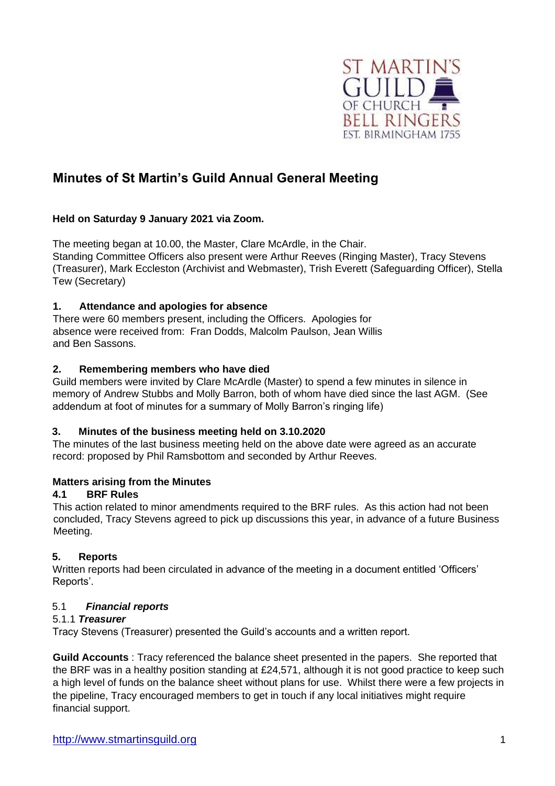

# **Minutes of St Martin's Guild Annual General Meeting**

## **Held on Saturday 9 January 2021 via Zoom.**

The meeting began at 10.00, the Master, Clare McArdle, in the Chair. Standing Committee Officers also present were Arthur Reeves (Ringing Master), Tracy Stevens (Treasurer), Mark Eccleston (Archivist and Webmaster), Trish Everett (Safeguarding Officer), Stella Tew (Secretary)

### **1. Attendance and apologies for absence**

There were 60 members present, including the Officers. Apologies for absence were received from: Fran Dodds, Malcolm Paulson, Jean Willis and Ben Sassons.

### **2. Remembering members who have died**

Guild members were invited by Clare McArdle (Master) to spend a few minutes in silence in memory of Andrew Stubbs and Molly Barron, both of whom have died since the last AGM. (See addendum at foot of minutes for a summary of Molly Barron's ringing life)

### **3. Minutes of the business meeting held on 3.10.2020**

The minutes of the last business meeting held on the above date were agreed as an accurate record: proposed by Phil Ramsbottom and seconded by Arthur Reeves.

### **4. Matters arising from the Minutes**

### **4.1 BRF Rules**

This action related to minor amendments required to the BRF rules. As this action had not been concluded, Tracy Stevens agreed to pick up discussions this year, in advance of a future Business Meeting.

# **5. Reports**

Written reports had been circulated in advance of the meeting in a document entitled 'Officers' Reports'.

### 5.1 *Financial reports*

### 5.1.1 *Treasurer*

Tracy Stevens (Treasurer) presented the Guild's accounts and a written report.

**Guild Accounts** : Tracy referenced the balance sheet presented in the papers. She reported that the BRF was in a healthy position standing at £24,571, although it is not good practice to keep such a high level of funds on the balance sheet without plans for use. Whilst there were a few projects in the pipeline, Tracy encouraged members to get in touch if any local initiatives might require financial support.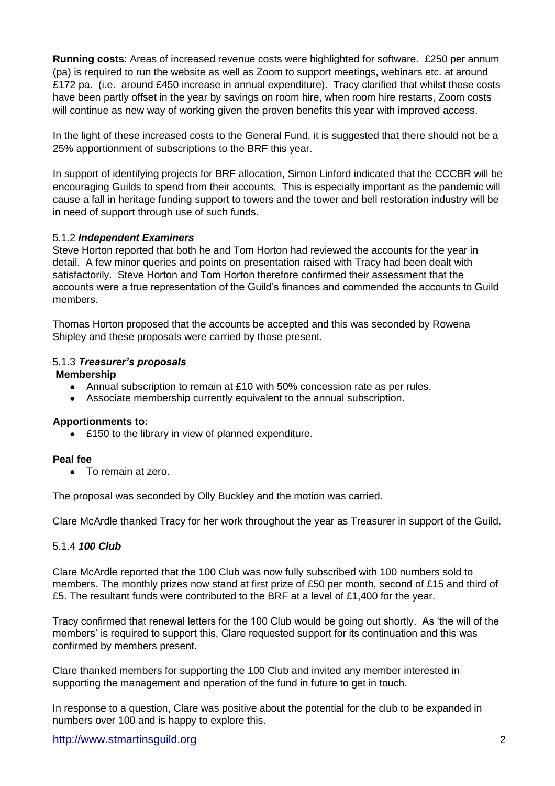**Running costs**: Areas of increased revenue costs were highlighted for software. £250 per annum (pa) is required to run the website as well as Zoom to support meetings, webinars etc. at around £172 pa. (i.e. around £450 increase in annual expenditure). Tracy clarified that whilst these costs have been partly offset in the year by savings on room hire, when room hire restarts, Zoom costs will continue as new way of working given the proven benefits this year with improved access.

In the light of these increased costs to the General Fund, it is suggested that there should not be a 25% apportionment of subscriptions to the BRF this year.

In support of identifying projects for BRF allocation, Simon Linford indicated that the CCCBR will be encouraging Guilds to spend from their accounts. This is especially important as the pandemic will cause a fall in heritage funding support to towers and the tower and bell restoration industry will be in need of support through use of such funds.

#### 5.1.2 *Independent Examiners*

Steve Horton reported that both he and Tom Horton had reviewed the accounts for the year in detail. A few minor queries and points on presentation raised with Tracy had been dealt with satisfactorily. Steve Horton and Tom Horton therefore confirmed their assessment that the accounts were a true representation of the Guild's finances and commended the accounts to Guild members.

Thomas Horton proposed that the accounts be accepted and this was seconded by Rowena Shipley and these proposals were carried by those present.

#### 5.1.3 *Treasurer's proposals*

#### **Membership**

- Annual subscription to remain at £10 with 50% concession rate as per rules.
- Associate membership currently equivalent to the annual subscription.

#### **Apportionments to:**

• £150 to the library in view of planned expenditure.

#### **Peal fee**

● To remain at zero.

The proposal was seconded by Olly Buckley and the motion was carried.

Clare McArdle thanked Tracy for her work throughout the year as Treasurer in support of the Guild.

#### 5.1.4 *100 Club*

Clare McArdle reported that the 100 Club was now fully subscribed with 100 numbers sold to members. The monthly prizes now stand at first prize of £50 per month, second of £15 and third of £5. The resultant funds were contributed to the BRF at a level of £1,400 for the year.

Tracy confirmed that renewal letters for the 100 Club would be going out shortly. As 'the will of the members' is required to support this, Clare requested support for its continuation and this was confirmed by members present.

Clare thanked members for supporting the 100 Club and invited any member interested in supporting the management and operation of the fund in future to get in touch.

In response to a question, Clare was positive about the potential for the club to be expanded in numbers over 100 and is happy to explore this.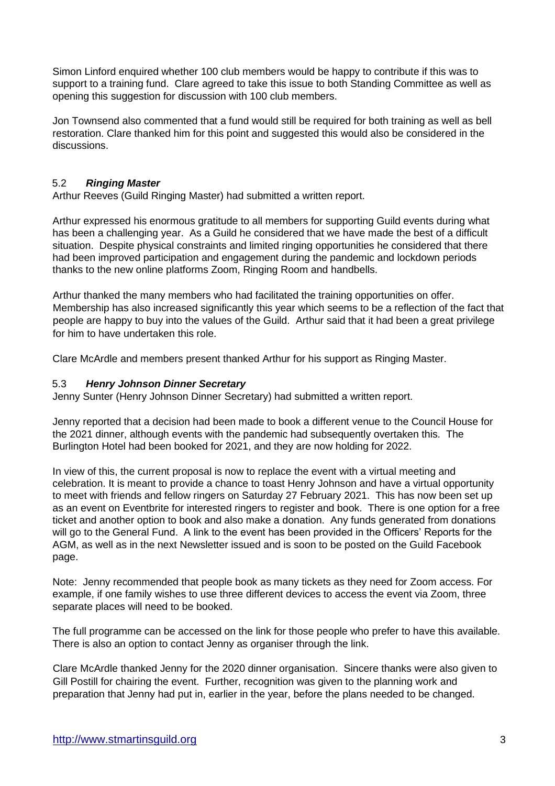Simon Linford enquired whether 100 club members would be happy to contribute if this was to support to a training fund. Clare agreed to take this issue to both Standing Committee as well as opening this suggestion for discussion with 100 club members.

Jon Townsend also commented that a fund would still be required for both training as well as bell restoration. Clare thanked him for this point and suggested this would also be considered in the discussions.

### 5.2 *Ringing Master*

Arthur Reeves (Guild Ringing Master) had submitted a written report.

Arthur expressed his enormous gratitude to all members for supporting Guild events during what has been a challenging year. As a Guild he considered that we have made the best of a difficult situation. Despite physical constraints and limited ringing opportunities he considered that there had been improved participation and engagement during the pandemic and lockdown periods thanks to the new online platforms Zoom, Ringing Room and handbells.

Arthur thanked the many members who had facilitated the training opportunities on offer. Membership has also increased significantly this year which seems to be a reflection of the fact that people are happy to buy into the values of the Guild. Arthur said that it had been a great privilege for him to have undertaken this role.

Clare McArdle and members present thanked Arthur for his support as Ringing Master.

#### 5.3 *Henry Johnson Dinner Secretary*

Jenny Sunter (Henry Johnson Dinner Secretary) had submitted a written report.

Jenny reported that a decision had been made to book a different venue to the Council House for the 2021 dinner, although events with the pandemic had subsequently overtaken this. The Burlington Hotel had been booked for 2021, and they are now holding for 2022.

In view of this, the current proposal is now to replace the event with a virtual meeting and celebration. It is meant to provide a chance to toast Henry Johnson and have a virtual opportunity to meet with friends and fellow ringers on Saturday 27 February 2021. This has now been set up as an event on Eventbrite for interested ringers to register and book. There is one option for a free ticket and another option to book and also make a donation. Any funds generated from donations will go to the General Fund. A link to the event has been provided in the Officers' Reports for the AGM, as well as in the next Newsletter issued and is soon to be posted on the Guild Facebook page.

Note: Jenny recommended that people book as many tickets as they need for Zoom access. For example, if one family wishes to use three different devices to access the event via Zoom, three separate places will need to be booked.

The full programme can be accessed on the link for those people who prefer to have this available. There is also an option to contact Jenny as organiser through the link.

Clare McArdle thanked Jenny for the 2020 dinner organisation. Sincere thanks were also given to Gill Postill for chairing the event. Further, recognition was given to the planning work and preparation that Jenny had put in, earlier in the year, before the plans needed to be changed.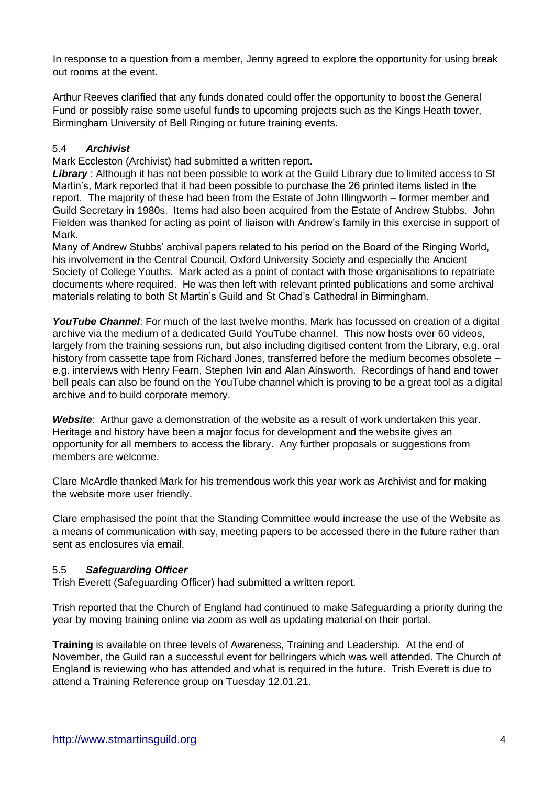In response to a question from a member, Jenny agreed to explore the opportunity for using break out rooms at the event.

Arthur Reeves clarified that any funds donated could offer the opportunity to boost the General Fund or possibly raise some useful funds to upcoming projects such as the Kings Heath tower, Birmingham University of Bell Ringing or future training events.

### 5.4 *Archivist*

Mark Eccleston (Archivist) had submitted a written report.

*Library* : Although it has not been possible to work at the Guild Library due to limited access to St Martin's, Mark reported that it had been possible to purchase the 26 printed items listed in the report. The majority of these had been from the Estate of John Illingworth – former member and Guild Secretary in 1980s. Items had also been acquired from the Estate of Andrew Stubbs. John Fielden was thanked for acting as point of liaison with Andrew's family in this exercise in support of Mark.

Many of Andrew Stubbs' archival papers related to his period on the Board of the Ringing World, his involvement in the Central Council, Oxford University Society and especially the Ancient Society of College Youths. Mark acted as a point of contact with those organisations to repatriate documents where required. He was then left with relevant printed publications and some archival materials relating to both St Martin's Guild and St Chad's Cathedral in Birmingham.

YouTube Channel: For much of the last twelve months, Mark has focussed on creation of a digital archive via the medium of a dedicated Guild YouTube channel. This now hosts over 60 videos, largely from the training sessions run, but also including digitised content from the Library, e.g. oral history from cassette tape from Richard Jones, transferred before the medium becomes obsolete – e.g. interviews with Henry Fearn, Stephen Ivin and Alan Ainsworth. Recordings of hand and tower bell peals can also be found on the YouTube channel which is proving to be a great tool as a digital archive and to build corporate memory.

*Website*: Arthur gave a demonstration of the website as a result of work undertaken this year. Heritage and history have been a major focus for development and the website gives an opportunity for all members to access the library. Any further proposals or suggestions from members are welcome.

Clare McArdle thanked Mark for his tremendous work this year work as Archivist and for making the website more user friendly.

Clare emphasised the point that the Standing Committee would increase the use of the Website as a means of communication with say, meeting papers to be accessed there in the future rather than sent as enclosures via email.

### 5.5 *Safeguarding Officer*

Trish Everett (Safeguarding Officer) had submitted a written report.

Trish reported that the Church of England had continued to make Safeguarding a priority during the year by moving training online via zoom as well as updating material on their portal.

**Training** is available on three levels of Awareness, Training and Leadership. At the end of November, the Guild ran a successful event for bellringers which was well attended. The Church of England is reviewing who has attended and what is required in the future. Trish Everett is due to attend a Training Reference group on Tuesday 12.01.21.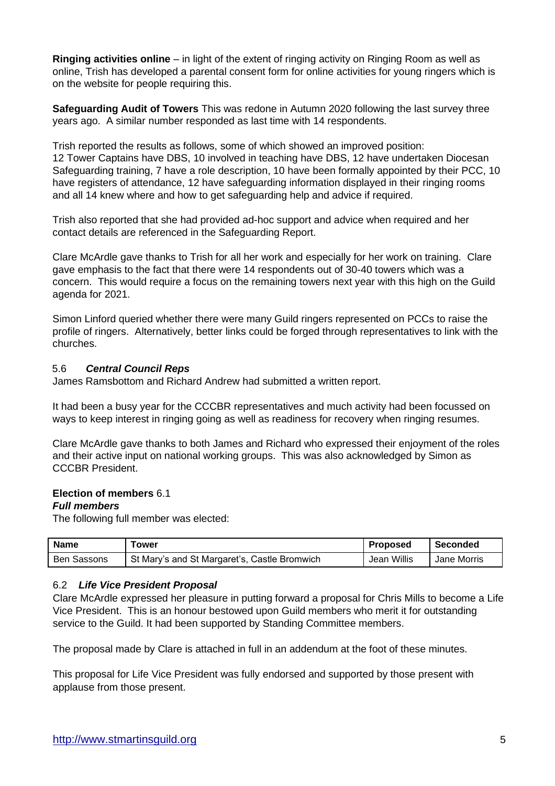**Ringing activities online** – in light of the extent of ringing activity on Ringing Room as well as online, Trish has developed a parental consent form for online activities for young ringers which is on the website for people requiring this.

**Safeguarding Audit of Towers** This was redone in Autumn 2020 following the last survey three years ago. A similar number responded as last time with 14 respondents.

Trish reported the results as follows, some of which showed an improved position: 12 Tower Captains have DBS, 10 involved in teaching have DBS, 12 have undertaken Diocesan Safeguarding training, 7 have a role description, 10 have been formally appointed by their PCC, 10 have registers of attendance, 12 have safeguarding information displayed in their ringing rooms and all 14 knew where and how to get safeguarding help and advice if required.

Trish also reported that she had provided ad-hoc support and advice when required and her contact details are referenced in the Safeguarding Report.

Clare McArdle gave thanks to Trish for all her work and especially for her work on training. Clare gave emphasis to the fact that there were 14 respondents out of 30-40 towers which was a concern. This would require a focus on the remaining towers next year with this high on the Guild agenda for 2021.

Simon Linford queried whether there were many Guild ringers represented on PCCs to raise the profile of ringers. Alternatively, better links could be forged through representatives to link with the churches.

#### 5.6 *Central Council Reps*

James Ramsbottom and Richard Andrew had submitted a written report.

It had been a busy year for the CCCBR representatives and much activity had been focussed on ways to keep interest in ringing going as well as readiness for recovery when ringing resumes.

Clare McArdle gave thanks to both James and Richard who expressed their enjoyment of the roles and their active input on national working groups. This was also acknowledged by Simon as CCCBR President.

#### **6. Election of members** 6.1

#### *Full members*

The following full member was elected:

| <b>Name</b>        | ower                                         | Proposeg    | Seconded    |
|--------------------|----------------------------------------------|-------------|-------------|
| <b>Ben Sassons</b> | St Mary's and St Margaret's, Castle Bromwich | Jean Willis | Jane Morris |

#### 6.2 *Life Vice President Proposal*

Clare McArdle expressed her pleasure in putting forward a proposal for Chris Mills to become a Life Vice President. This is an honour bestowed upon Guild members who merit it for outstanding service to the Guild. It had been supported by Standing Committee members.

The proposal made by Clare is attached in full in an addendum at the foot of these minutes.

This proposal for Life Vice President was fully endorsed and supported by those present with applause from those present.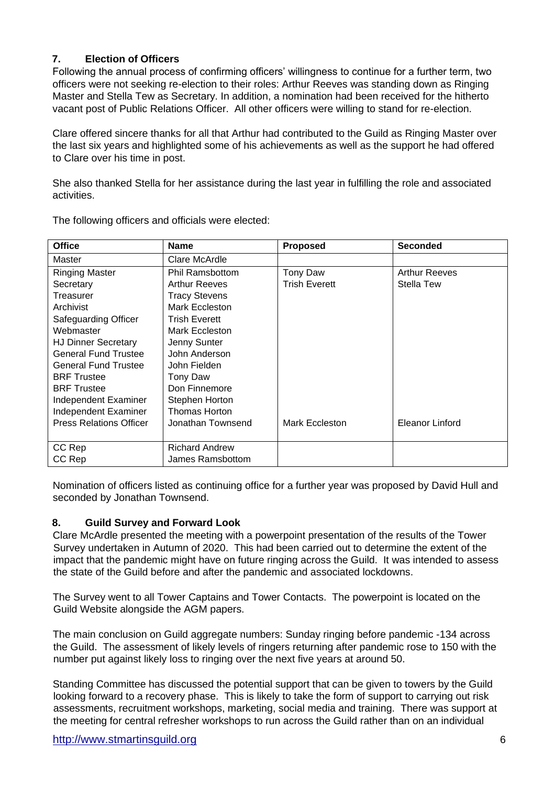# **7. Election of Officers**

Following the annual process of confirming officers' willingness to continue for a further term, two officers were not seeking re-election to their roles: Arthur Reeves was standing down as Ringing Master and Stella Tew as Secretary. In addition, a nomination had been received for the hitherto vacant post of Public Relations Officer. All other officers were willing to stand for re-election.

Clare offered sincere thanks for all that Arthur had contributed to the Guild as Ringing Master over the last six years and highlighted some of his achievements as well as the support he had offered to Clare over his time in post.

She also thanked Stella for her assistance during the last year in fulfilling the role and associated activities.

| <b>Office</b>                  | <b>Name</b>            | <b>Proposed</b>      | <b>Seconded</b>      |
|--------------------------------|------------------------|----------------------|----------------------|
| Master                         | Clare McArdle          |                      |                      |
| <b>Ringing Master</b>          | <b>Phil Ramsbottom</b> | Tony Daw             | <b>Arthur Reeves</b> |
| Secretary                      | <b>Arthur Reeves</b>   | <b>Trish Everett</b> | Stella Tew           |
| Treasurer                      | <b>Tracy Stevens</b>   |                      |                      |
| Archivist                      | Mark Eccleston         |                      |                      |
| Safeguarding Officer           | Trish Everett          |                      |                      |
| Webmaster                      | Mark Eccleston         |                      |                      |
| <b>HJ Dinner Secretary</b>     | Jenny Sunter           |                      |                      |
| <b>General Fund Trustee</b>    | John Anderson          |                      |                      |
| <b>General Fund Trustee</b>    | John Fielden           |                      |                      |
| <b>BRF</b> Trustee             | Tony Daw               |                      |                      |
| <b>BRF</b> Trustee             | Don Finnemore          |                      |                      |
| Independent Examiner           | Stephen Horton         |                      |                      |
| Independent Examiner           | <b>Thomas Horton</b>   |                      |                      |
| <b>Press Relations Officer</b> | Jonathan Townsend      | Mark Eccleston       | Eleanor Linford      |
|                                |                        |                      |                      |
| CC Rep                         | <b>Richard Andrew</b>  |                      |                      |
| CC Rep                         | James Ramsbottom       |                      |                      |

The following officers and officials were elected:

Nomination of officers listed as continuing office for a further year was proposed by David Hull and seconded by Jonathan Townsend.

### **8. Guild Survey and Forward Look**

Clare McArdle presented the meeting with a powerpoint presentation of the results of the Tower Survey undertaken in Autumn of 2020. This had been carried out to determine the extent of the impact that the pandemic might have on future ringing across the Guild. It was intended to assess the state of the Guild before and after the pandemic and associated lockdowns.

The Survey went to all Tower Captains and Tower Contacts. The powerpoint is located on the Guild Website alongside the AGM papers.

The main conclusion on Guild aggregate numbers: Sunday ringing before pandemic -134 across the Guild. The assessment of likely levels of ringers returning after pandemic rose to 150 with the number put against likely loss to ringing over the next five years at around 50.

Standing Committee has discussed the potential support that can be given to towers by the Guild looking forward to a recovery phase. This is likely to take the form of support to carrying out risk assessments, recruitment workshops, marketing, social media and training. There was support at the meeting for central refresher workshops to run across the Guild rather than on an individual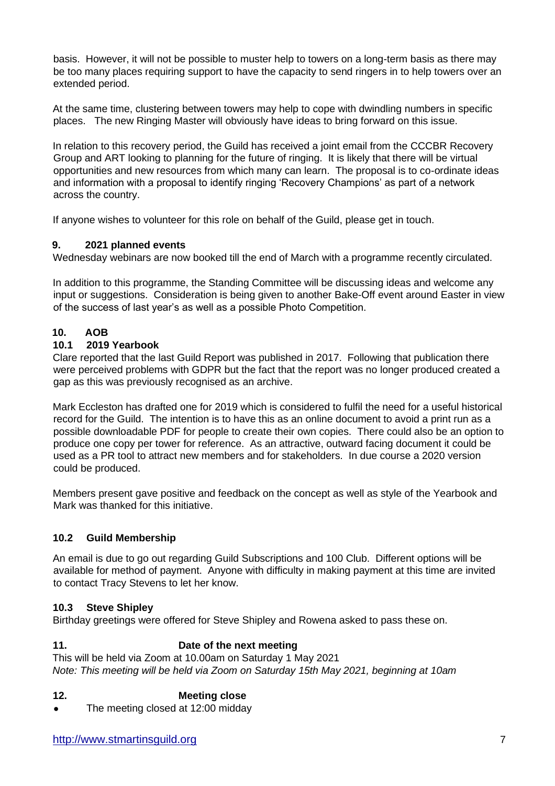basis. However, it will not be possible to muster help to towers on a long-term basis as there may be too many places requiring support to have the capacity to send ringers in to help towers over an extended period.

At the same time, clustering between towers may help to cope with dwindling numbers in specific places. The new Ringing Master will obviously have ideas to bring forward on this issue.

In relation to this recovery period, the Guild has received a joint email from the CCCBR Recovery Group and ART looking to planning for the future of ringing. It is likely that there will be virtual opportunities and new resources from which many can learn. The proposal is to co-ordinate ideas and information with a proposal to identify ringing 'Recovery Champions' as part of a network across the country.

If anyone wishes to volunteer for this role on behalf of the Guild, please get in touch.

#### **9. 2021 planned events**

Wednesday webinars are now booked till the end of March with a programme recently circulated.

In addition to this programme, the Standing Committee will be discussing ideas and welcome any input or suggestions. Consideration is being given to another Bake-Off event around Easter in view of the success of last year's as well as a possible Photo Competition.

### **10. AOB**

#### **10.1 2019 Yearbook**

Clare reported that the last Guild Report was published in 2017. Following that publication there were perceived problems with GDPR but the fact that the report was no longer produced created a gap as this was previously recognised as an archive.

Mark Eccleston has drafted one for 2019 which is considered to fulfil the need for a useful historical record for the Guild. The intention is to have this as an online document to avoid a print run as a possible downloadable PDF for people to create their own copies. There could also be an option to produce one copy per tower for reference. As an attractive, outward facing document it could be used as a PR tool to attract new members and for stakeholders. In due course a 2020 version could be produced.

Members present gave positive and feedback on the concept as well as style of the Yearbook and Mark was thanked for this initiative.

### **10.2 Guild Membership**

An email is due to go out regarding Guild Subscriptions and 100 Club. Different options will be available for method of payment. Anyone with difficulty in making payment at this time are invited to contact Tracy Stevens to let her know.

#### **10.3 Steve Shipley**

Birthday greetings were offered for Steve Shipley and Rowena asked to pass these on.

### **11. Date of the next meeting**

This will be held via Zoom at 10.00am on Saturday 1 May 2021 *Note: This meeting will be held via Zoom on Saturday 15th May 2021, beginning at 10am*

### **12. Meeting close**

• The meeting closed at 12:00 midday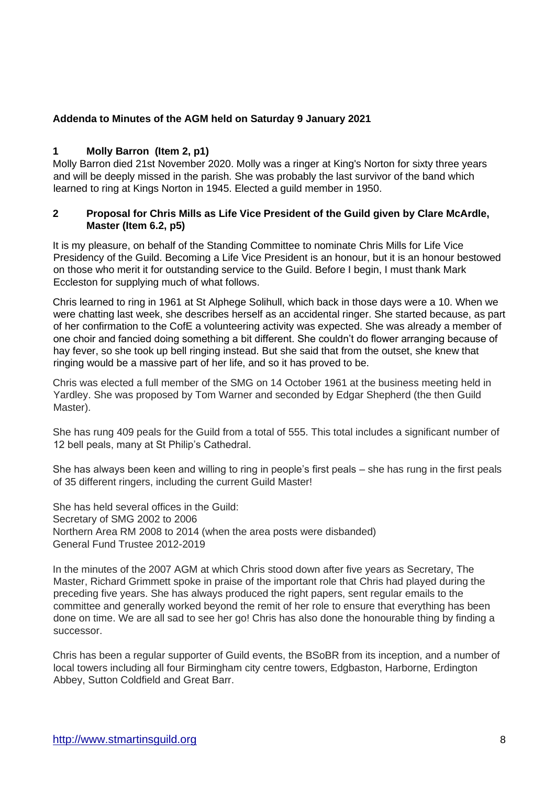#### **Addenda to Minutes of the AGM held on Saturday 9 January 2021**

#### **1 Molly Barron (Item 2, p1)**

Molly Barron died 21st November 2020. Molly was a ringer at King's Norton for sixty three years and will be deeply missed in the parish. She was probably the last survivor of the band which learned to ring at Kings Norton in 1945. Elected a guild member in 1950.

#### **2 Proposal for Chris Mills as Life Vice President of the Guild given by Clare McArdle, Master (Item 6.2, p5)**

It is my pleasure, on behalf of the Standing Committee to nominate Chris Mills for Life Vice Presidency of the Guild. Becoming a Life Vice President is an honour, but it is an honour bestowed on those who merit it for outstanding service to the Guild. Before I begin, I must thank Mark Eccleston for supplying much of what follows.

Chris learned to ring in 1961 at St Alphege Solihull, which back in those days were a 10. When we were chatting last week, she describes herself as an accidental ringer. She started because, as part of her confirmation to the CofE a volunteering activity was expected. She was already a member of one choir and fancied doing something a bit different. She couldn't do flower arranging because of hay fever, so she took up bell ringing instead. But she said that from the outset, she knew that ringing would be a massive part of her life, and so it has proved to be.

Chris was elected a full member of the SMG on 14 October 1961 at the business meeting held in Yardley. She was proposed by Tom Warner and seconded by Edgar Shepherd (the then Guild Master).

She has rung 409 peals for the Guild from a total of 555. This total includes a significant number of 12 bell peals, many at St Philip's Cathedral.

She has always been keen and willing to ring in people's first peals – she has rung in the first peals of 35 different ringers, including the current Guild Master!

She has held several offices in the Guild: Secretary of SMG 2002 to 2006 Northern Area RM 2008 to 2014 (when the area posts were disbanded) General Fund Trustee 2012-2019

In the minutes of the 2007 AGM at which Chris stood down after five years as Secretary, The Master, Richard Grimmett spoke in praise of the important role that Chris had played during the preceding five years. She has always produced the right papers, sent regular emails to the committee and generally worked beyond the remit of her role to ensure that everything has been done on time. We are all sad to see her go! Chris has also done the honourable thing by finding a successor.

Chris has been a regular supporter of Guild events, the BSoBR from its inception, and a number of local towers including all four Birmingham city centre towers, Edgbaston, Harborne, Erdington Abbey, Sutton Coldfield and Great Barr.